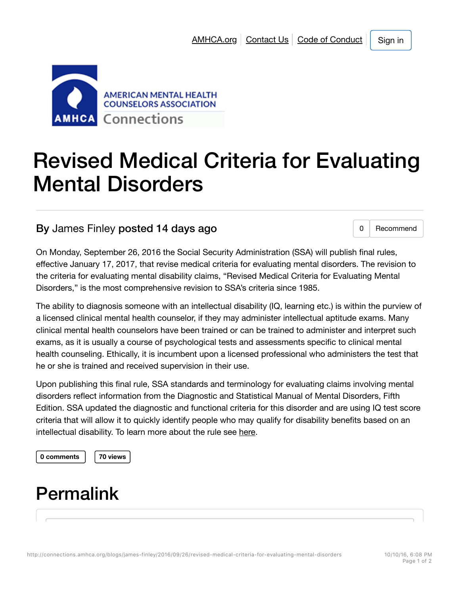

# Revised Medical Criteria for Evaluating Mental Disorders

#### By James Finley posted 14 days ago 0 8 0 Recommend

On Monday, September 26, 2016 the Social Security Administration (SSA) will publish final rules, effective January 17, 2017, that revise medical criteria for evaluating mental disorders. The revision to the criteria for evaluating mental disability claims, "Revised Medical Criteria for Evaluating Mental Disorders," is the most comprehensive revision to SSA's criteria since 1985.

The ability to diagnosis someone with an intellectual disability (IQ, learning etc.) is within the purview of a licensed clinical mental health counselor, if they may administer intellectual aptitude exams. Many clinical mental health counselors have been trained or can be trained to administer and interpret such exams, as it is usually a course of psychological tests and assessments specific to clinical mental health counseling. Ethically, it is incumbent upon a licensed professional who administers the test that he or she is trained and received supervision in their use.

Upon publishing this final rule, SSA standards and terminology for evaluating claims involving mental disorders reflect information from the Diagnostic and Statistical Manual of Mental Disorders, Fifth Edition. SSA updated the diagnostic and functional criteria for this disorder and are using IQ test score criteria that will allow it to quickly identify people who may qualify for disability benefits based on an intellectual disability. To learn more about the rule see here.

**0 comments 70 views**

#### Permalink